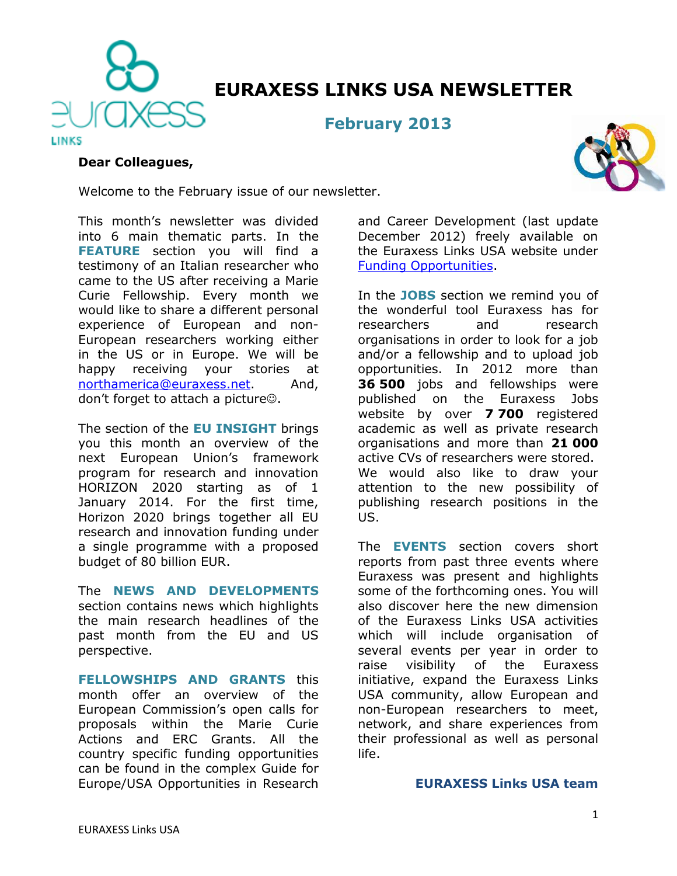

# **EURAXESS LINKS USA NEWSLETTER**

**February 2013**

#### **Dear Colleagues,**



This month's newsletter was divided into 6 main thematic parts. In the **FEATURE** section you will find a testimony of an Italian researcher who came to the US after receiving a Marie Curie Fellowship. Every month we would like to share a different personal experience of European and non-European researchers working either in the US or in Europe. We will be happy receiving your stories at [northamerica@euraxess.net.](mailto:northamerica@euraxess.net) And, don't forget to attach a picture $\odot$ .

The section of the **EU INSIGHT** brings you this month an overview of the next European Union's framework program for research and innovation HORIZON 2020 starting as of 1 January 2014. For the first time, Horizon 2020 brings together all EU research and innovation funding under a single programme with a proposed budget of 80 billion EUR.

The **NEWS AND DEVELOPMENTS** section contains news which highlights the main research headlines of the past month from the EU and US perspective.

**FELLOWSHIPS AND GRANTS** this month offer an overview of the European Commission's open calls for proposals within the Marie Curie Actions and ERC Grants. All the country specific funding opportunities can be found in the complex Guide for Europe/USA Opportunities in Research

and Career Development (last update December 2012) freely available on the Euraxess Links USA website under [Funding Opportunities.](http://ec.europa.eu/euraxess/links/usa/funding_opportunities_en.htm)

In the **JOBS** section we remind you of the wonderful tool Euraxess has for researchers and research organisations in order to look for a job and/or a fellowship and to upload job opportunities. In 2012 more than **36 500** jobs and fellowships were published on the Euraxess Jobs website by over **7 700** registered academic as well as private research organisations and more than **21 000** active CVs of researchers were stored. We would also like to draw your attention to the new possibility of publishing research positions in the US.

The **EVENTS** section covers short reports from past three events where Euraxess was present and highlights some of the forthcoming ones. You will also discover here the new dimension of the Euraxess Links USA activities which will include organisation of several events per year in order to raise visibility of the Euraxess initiative, expand the Euraxess Links USA community, allow European and non-European researchers to meet, network, and share experiences from their professional as well as personal life.

#### **EURAXESS Links USA team**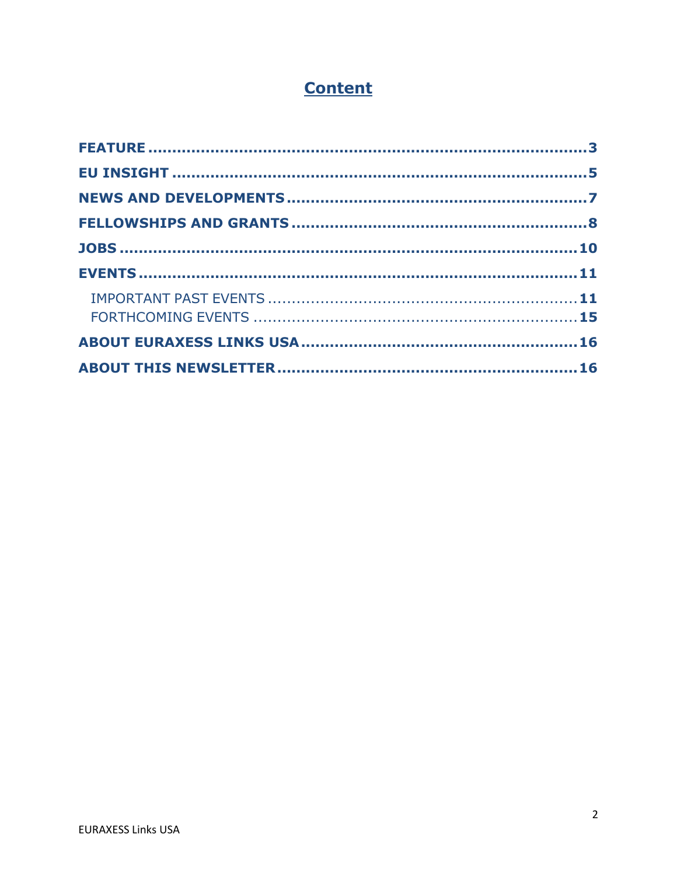# **Content**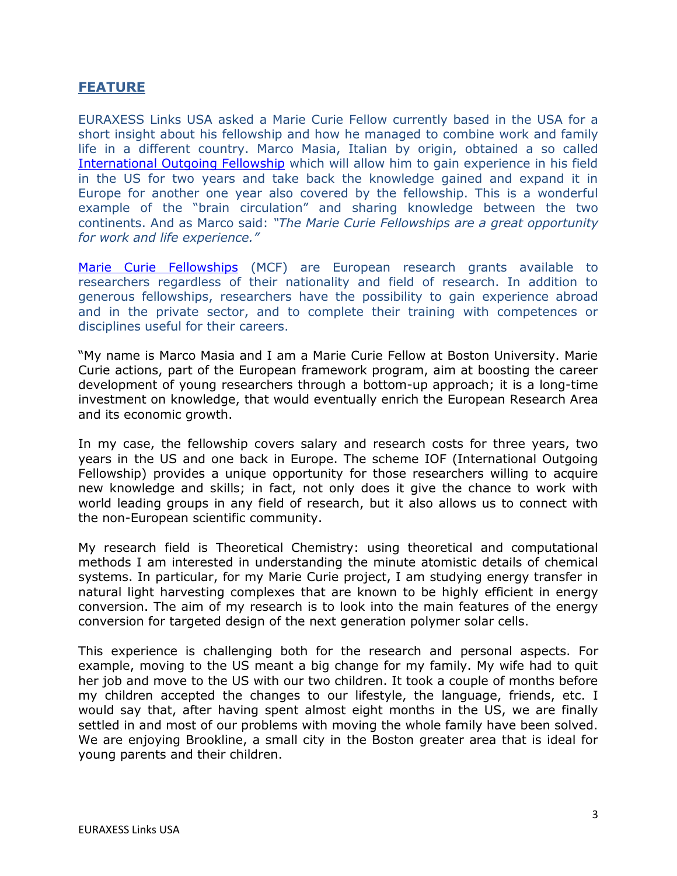# <span id="page-2-0"></span>**FEATURE**

EURAXESS Links USA asked a Marie Curie Fellow currently based in the USA for a short insight about his fellowship and how he managed to combine work and family life in a different country. Marco Masia, Italian by origin, obtained a so called International [Outgoing Fellowship](http://ec.europa.eu/research/mariecurieactions/about-mca/actions/iof/index_en.htm) which will allow him to gain experience in his field in the US for two years and take back the knowledge gained and expand it in Europe for another one year also covered by the fellowship. This is a wonderful example of the "brain circulation" and sharing knowledge between the two continents. And as Marco said: *"The Marie Curie Fellowships are a great opportunity for work and life experience."*

[Marie Curie Fellowships](http://ec.europa.eu/research/mariecurieactions/) (MCF) are European research grants available to researchers regardless of their nationality and field of research. In addition to generous fellowships, researchers have the possibility to gain experience abroad and in the private sector, and to complete their training with competences or disciplines useful for their careers.

"My name is Marco Masia and I am a Marie Curie Fellow at Boston University. Marie Curie actions, part of the European framework program, aim at boosting the career development of young researchers through a bottom-up approach; it is a long-time investment on knowledge, that would eventually enrich the European Research Area and its economic growth.

In my case, the fellowship covers salary and research costs for three years, two years in the US and one back in Europe. The scheme IOF (International Outgoing Fellowship) provides a unique opportunity for those researchers willing to acquire new knowledge and skills; in fact, not only does it give the chance to work with world leading groups in any field of research, but it also allows us to connect with the non-European scientific community.

My research field is Theoretical Chemistry: using theoretical and computational methods I am interested in understanding the minute atomistic details of chemical systems. In particular, for my Marie Curie project, I am studying energy transfer in natural light harvesting complexes that are known to be highly efficient in energy conversion. The aim of my research is to look into the main features of the energy conversion for targeted design of the next generation polymer solar cells.

This experience is challenging both for the research and personal aspects. For example, moving to the US meant a big change for my family. My wife had to quit her job and move to the US with our two children. It took a couple of months before my children accepted the changes to our lifestyle, the language, friends, etc. I would say that, after having spent almost eight months in the US, we are finally settled in and most of our problems with moving the whole family have been solved. We are enjoying Brookline, a small city in the Boston greater area that is ideal for young parents and their children.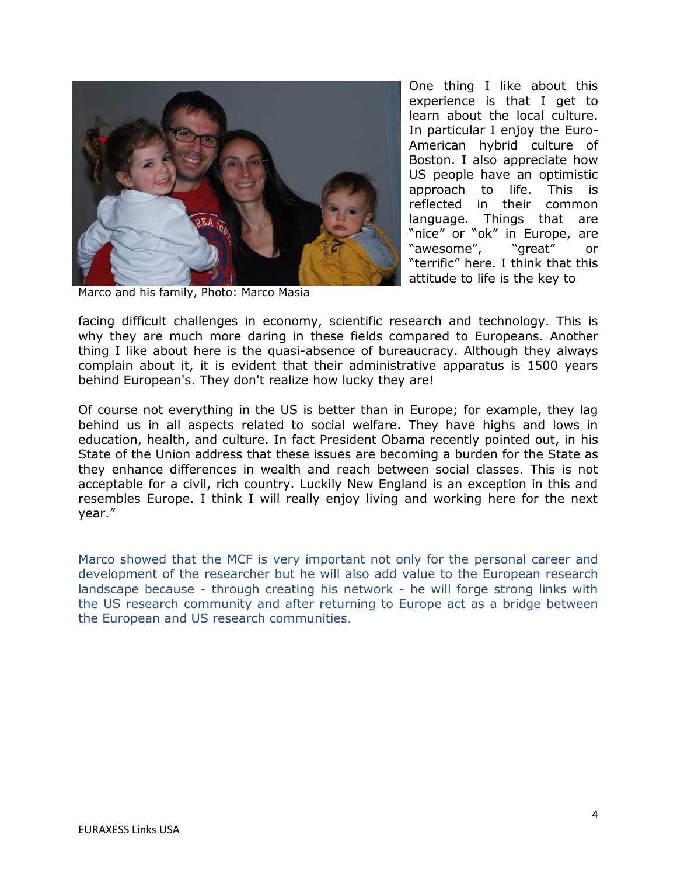

One thing I like about this experience is that I get to learn about the local culture. In particular I enjoy the Euro-American hybrid culture of Boston. I also appreciate how US people have an optimistic approach to life. This is reflected in their common language. Things that are "nice" or "ok" in Europe, are "awesome", "great" or "terrific" here. I think that this attitude to life is the key to

Marco and his family, Photo: Marco Masia

facing difficult challenges in economy, scientific research and technology. This is why they are much more daring in these fields compared to Europeans. Another thing I like about here is the quasi-absence of bureaucracy. Although they always complain about it, it is evident that their administrative apparatus is 1500 years behind European's. They don't realize how lucky they are!

Of course not everything in the US is better than in Europe; for example, they lag behind us in all aspects related to social welfare. They have highs and lows in education, health, and culture. In fact President Obama recently pointed out, in his State of the Union address that these issues are becoming a burden for the State as they enhance differences in wealth and reach between social classes. This is not acceptable for a civil, rich country. Luckily New England is an exception in this and resembles Europe. I think I will really enjoy living and working here for the next year."

Marco showed that the MCF is very important not only for the personal career and development of the researcher but he will also add value to the European research landscape because - through creating his network - he will forge strong links with the US research community and after returning to Europe act as a bridge between the European and US research communities.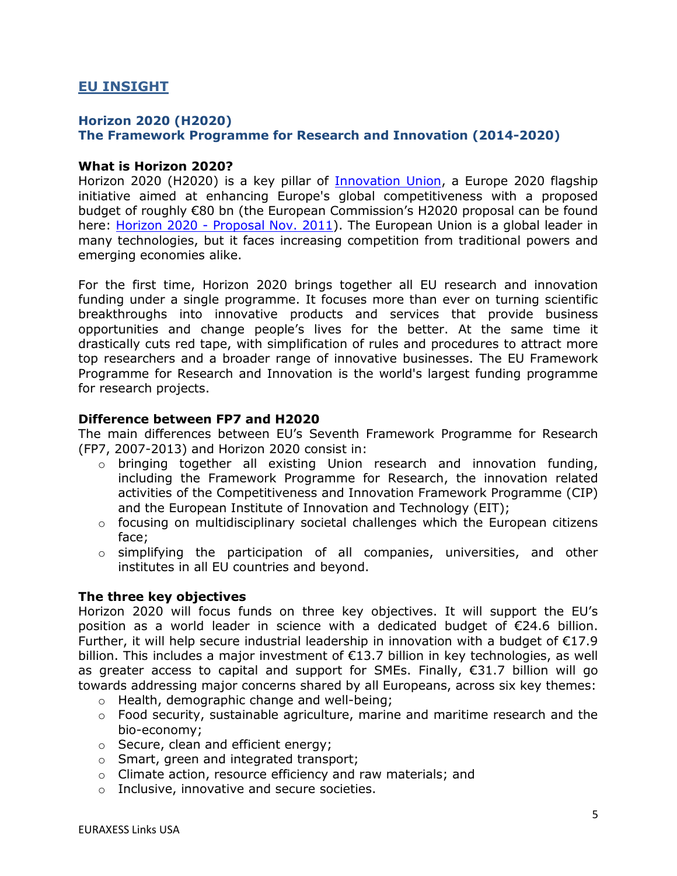# <span id="page-4-0"></span>**EU INSIGHT**

## **Horizon 2020 (H2020) The Framework Programme for Research and Innovation (2014-2020)**

#### **What is Horizon 2020?**

Horizon 2020 (H2020) is a key pillar of **Innovation Union**, a Europe 2020 flagship initiative aimed at enhancing Europe's global competitiveness with a proposed budget of roughly €80 bn (the European Commission's H2020 proposal can be found here: Horizon 2020 - [Proposal Nov. 2011\)](http://ec.europa.eu/research/horizon2020/pdf/proposals/com%282011%29_808_final.pdf). The European Union is a global leader in many technologies, but it faces increasing competition from traditional powers and emerging economies alike.

For the first time, Horizon 2020 brings together all EU research and innovation funding under a single programme. It focuses more than ever on turning scientific breakthroughs into innovative products and services that provide business opportunities and change people's lives for the better. At the same time it drastically cuts red tape, with simplification of rules and procedures to attract more top researchers and a broader range of innovative businesses. The EU Framework Programme for Research and Innovation is the world's largest funding programme for research projects.

#### **Difference between FP7 and H2020**

The main differences between EU's Seventh Framework Programme for Research (FP7, 2007-2013) and Horizon 2020 consist in:

- o bringing together all existing Union research and innovation funding, including the Framework Programme for Research, the innovation related activities of the Competitiveness and Innovation Framework Programme (CIP) and the European Institute of Innovation and Technology (EIT);
- o focusing on multidisciplinary societal challenges which the European citizens face;
- o simplifying the participation of all companies, universities, and other institutes in all EU countries and beyond.

### **The three key objectives**

Horizon 2020 will focus funds on three key objectives. It will support the EU's position as a world leader in science with a dedicated budget of €24.6 billion. Further, it will help secure industrial leadership in innovation with a budget of  $\epsilon$ 17.9 billion. This includes a major investment of  $\epsilon$ 13.7 billion in key technologies, as well as greater access to capital and support for SMEs. Finally,  $\epsilon$ 31.7 billion will go towards addressing major concerns shared by all Europeans, across six key themes:

- o Health, demographic change and well-being;
- $\circ$  Food security, sustainable agriculture, marine and maritime research and the bio-economy;
- o Secure, clean and efficient energy;
- o Smart, green and integrated transport;
- o Climate action, resource efficiency and raw materials; and
- o Inclusive, innovative and secure societies.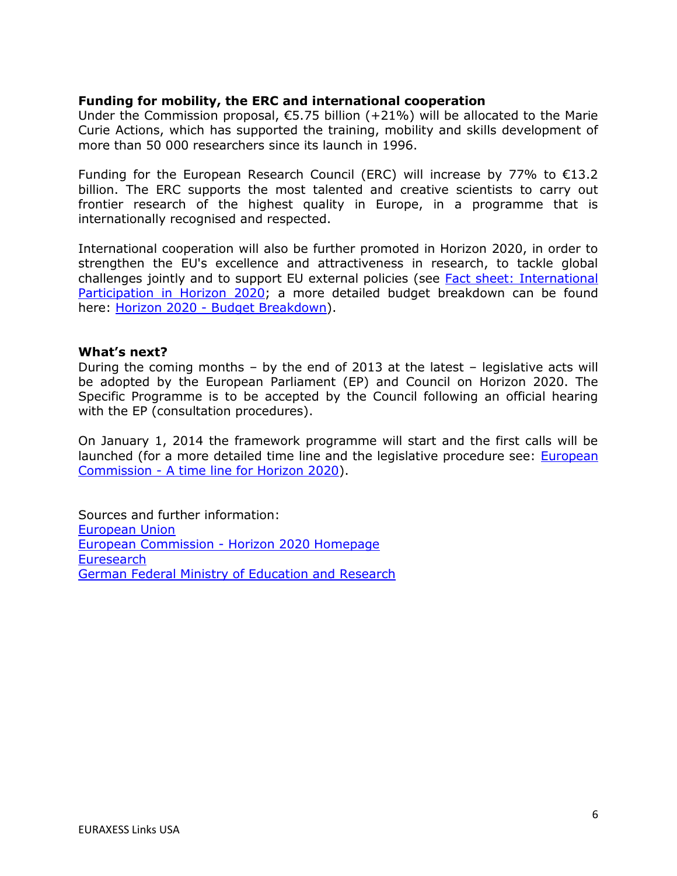## **Funding for mobility, the ERC and international cooperation**

Under the Commission proposal,  $€5.75$  billion (+21%) will be allocated to the Marie Curie Actions, which has supported the training, mobility and skills development of more than 50 000 researchers since its launch in 1996.

Funding for the European Research Council (ERC) will increase by 77% to  $\epsilon$ 13.2 billion. The ERC supports the most talented and creative scientists to carry out frontier research of the highest quality in Europe, in a programme that is internationally recognised and respected.

International cooperation will also be further promoted in Horizon 2020, in order to strengthen the EU's excellence and attractiveness in research, to tackle global challenges jointly and to support EU external policies (see [Fact sheet: International](http://ec.europa.eu/research/horizon2020/index_en.cfm?pg=h2020-documents)  [Participation in Horizon 2020;](http://ec.europa.eu/research/horizon2020/index_en.cfm?pg=h2020-documents) a more detailed budget breakdown can be found here: Horizon 2020 - [Budget Breakdown\)](http://ec.europa.eu/research/horizon2020/pdf/press/horizon_2020_budget_constant_2011.pdf).

### **What's next?**

During the coming months – by the end of 2013 at the latest – legislative acts will be adopted by the European Parliament (EP) and Council on Horizon 2020. The Specific Programme is to be accepted by the Council following an official hearing with the EP (consultation procedures).

On January 1, 2014 the framework programme will start and the first calls will be launched (for a more detailed time line and the legislative procedure see: [European](http://ec.europa.eu/research/horizon2020/index_en.cfm?pg=h2020-timeline)  Commission - [A time line for Horizon 2020\)](http://ec.europa.eu/research/horizon2020/index_en.cfm?pg=h2020-timeline).

<span id="page-5-0"></span>Sources and further information: [European Union](http://europa.eu/rapid/press-release_IP-11-1475_en.htm) European Commission - [Horizon 2020 Homepage](http://ec.europa.eu/research/horizon2020/index_en.cfm?pg=home) **[Euresearch](http://www.euresearch.ch/index.php?id=1356)** [German Federal Ministry of Education and Research](http://www.bmbf.de/en/959.php)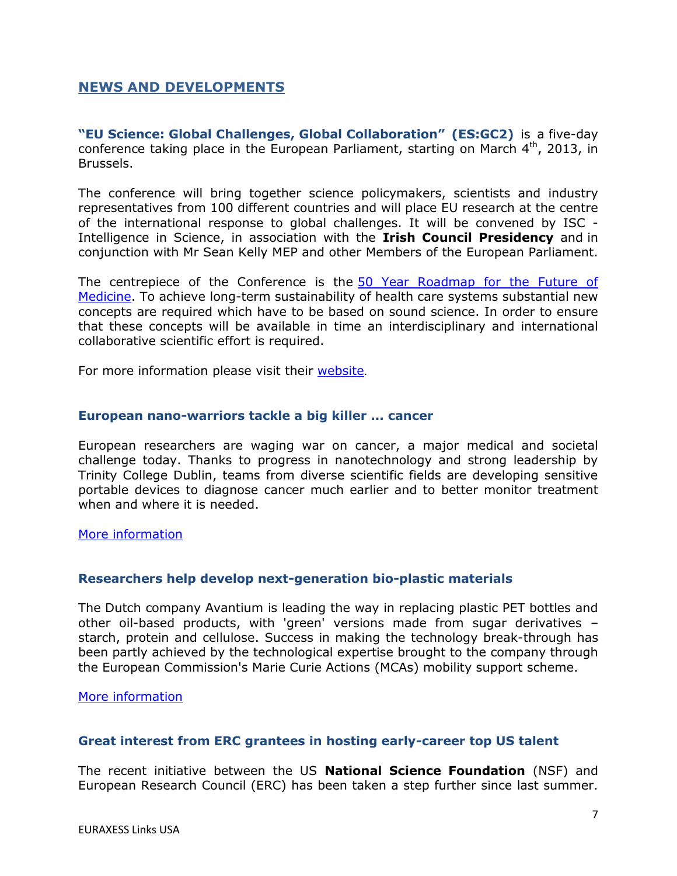# **NEWS AND DEVELOPMENTS**

**"EU Science: Global Challenges, Global Collaboration" (ES:GC2)** is a five-day conference taking place in the European Parliament, starting on March  $4<sup>th</sup>$ , 2013, in Brussels.

The conference will bring together science policymakers, scientists and industry representatives from 100 different countries and will place EU research at the centre of the international response to global challenges. It will be convened by ISC - Intelligence in Science, in association with the **Irish Council Presidency** and in conjunction with Mr Sean Kelly MEP and other Members of the European Parliament.

The centrepiece of the Conference is the [50 Year Roadmap for the Future of](http://www.globalsciencecollaboration.org/global-challenges/health) [Medicine.](http://www.globalsciencecollaboration.org/global-challenges/health) To achieve long-term sustainability of health care systems substantial new concepts are required which have to be based on sound science. In order to ensure that these concepts will be available in time an interdisciplinary and international collaborative scientific effort is required.

For more information please visit their [website](http://www.globalsciencecollaboration.org/home).

#### **European nano-warriors tackle a big killer ... cancer**

European researchers are waging war on cancer, a major medical and societal challenge today. Thanks to progress in nanotechnology and strong leadership by Trinity College Dublin, teams from diverse scientific fields are developing sensitive portable devices to diagnose cancer much earlier and to better monitor treatment when and where it is needed.

#### [More information](http://ec.europa.eu/research/infocentre/article_en.cfm?id=/research/headlines/news/article_13_03_04_en.html&item=Infocentre&artid=29316)

### **Researchers help develop next-generation bio-plastic materials**

The Dutch company Avantium is leading the way in replacing plastic PET bottles and other oil-based products, with 'green' versions made from sugar derivatives – starch, protein and cellulose. Success in making the technology break-through has been partly achieved by the technological expertise brought to the company through the European Commission's Marie Curie Actions (MCAs) mobility support scheme.

[More information](http://ec.europa.eu/research/infocentre/article_en.cfm?id=/research/star/index_en.cfm?p=ss-sugar&calledby=infocentre&item=Infocentre&artid=29318)

### **Great interest from ERC grantees in hosting early-career top US talent**

The recent initiative between the US **National Science Foundation** (NSF) and European Research Council (ERC) has been taken a step further since last summer.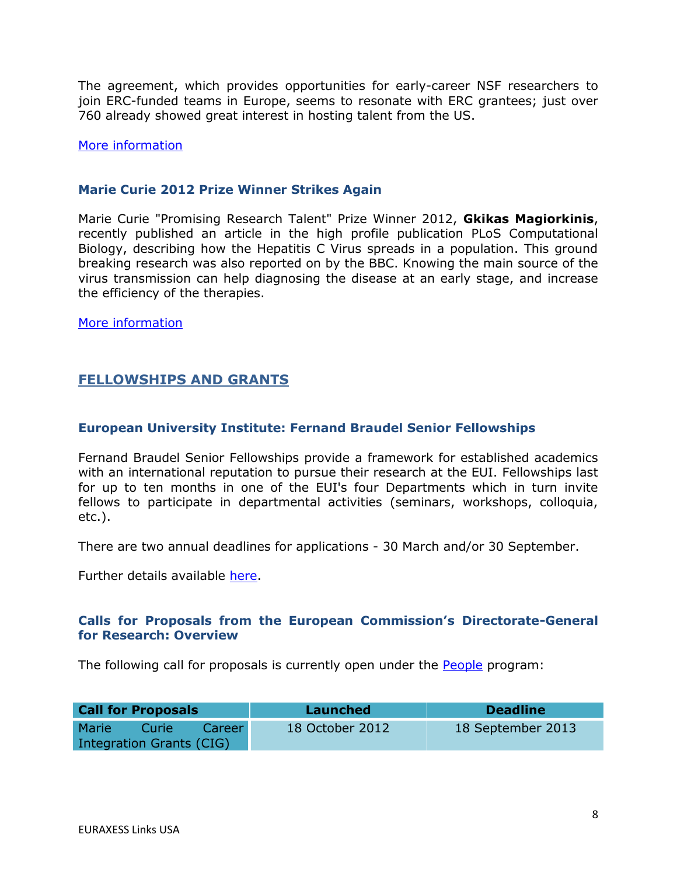The agreement, which provides opportunities for early-career NSF researchers to join ERC-funded teams in Europe, seems to resonate with ERC grantees; just over 760 already showed great interest in hosting talent from the US.

#### [More information](http://erc.europa.eu/sites/default/files/press_release/files/highlight_NSF-ERC_initiative_2013.pdf)

## **Marie Curie 2012 Prize Winner Strikes Again**

Marie Curie "Promising Research Talent" Prize Winner 2012, **Gkikas Magiorkinis**, recently published an article in the high profile publication PLoS Computational Biology, describing how the Hepatitis C Virus spreads in a population. This ground breaking research was also reported on by the BBC. Knowing the main source of the virus transmission can help diagnosing the disease at an early stage, and increase the efficiency of the therapies.

[More information](http://ec.europa.eu/research/mariecurieactions/news-events/news/2013/prize_winner_strikes_against_en.htm)

# <span id="page-7-0"></span>**FELLOWSHIPS AND GRANTS**

# **European University Institute: Fernand Braudel Senior Fellowships**

Fernand Braudel Senior Fellowships provide a framework for established academics with an international reputation to pursue their research at the EUI. Fellowships last for up to ten months in one of the EUI's four Departments which in turn invite fellows to participate in departmental activities (seminars, workshops, colloquia, etc.).

There are two annual deadlines for applications - 30 March and/or 30 September.

Further details available [here.](http://www.eui.eu/ServicesAndAdmin/AcademicService/Fellowships/FernandBraudelSeniorFellowships/Index.aspx)

# **Calls for Proposals from the European Commission's Directorate-General for Research: Overview**

The following call for proposals is currently open under the [People](http://ec.europa.eu/research/participants/portal/appmanager/participants/portal?_nfpb=true&_windowLabel=portletInstance_60&portletInstance_60_actionOverride=%2Fportlets%2Fcall%2Ffp7CallMenu%2Fgo2People&_pageLabel=call_FP7#wlp_portletInstance_60) program:

| <b>Call for Proposals</b>       |       |        | Launched        | <b>Deadline</b>   |
|---------------------------------|-------|--------|-----------------|-------------------|
| <b>Marie</b>                    | Curie | Career | 18 October 2012 | 18 September 2013 |
| <b>Integration Grants (CIG)</b> |       |        |                 |                   |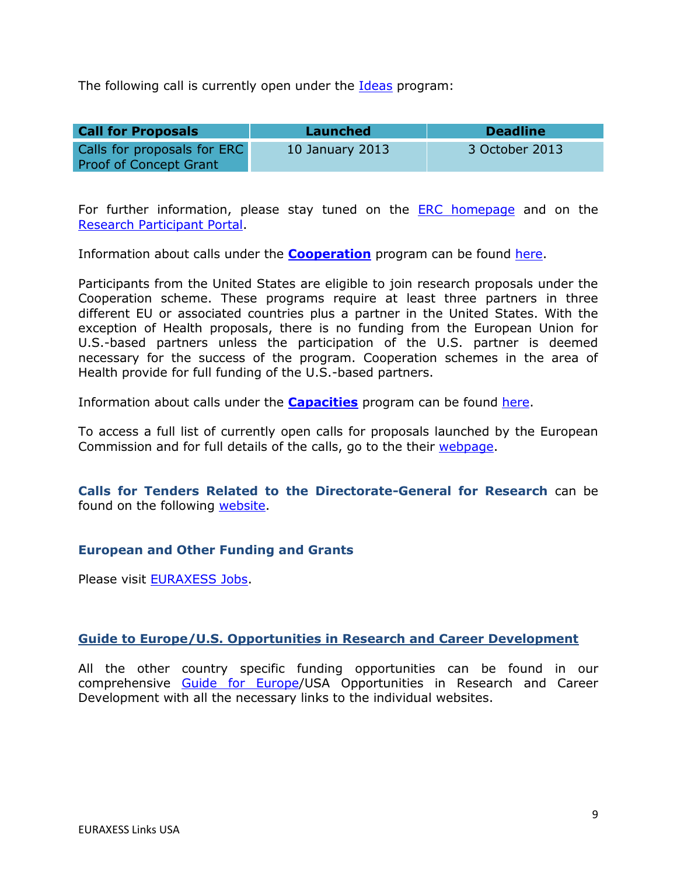The following call is currently open under the [Ideas](http://ec.europa.eu/research/participants/portal/appmanager/participants/portal?_nfpb=true&_windowLabel=portletInstance_60&portletInstance_60_actionOverride=%2Fportlets%2Fcall%2Ffp7CallMenu%2Fgo2Ideas&_pageLabel=call_FP7#wlp_portletInstance_60) program:

| <b>Call for Proposals</b>     | Launched        | <b>Deadline</b> |
|-------------------------------|-----------------|-----------------|
| Calls for proposals for ERC   | 10 January 2013 | 3 October 2013  |
| <b>Proof of Concept Grant</b> |                 |                 |

For further information, please stay tuned on the **ERC** homepage and on the [Research Participant Portal.](http://ec.europa.eu/research/participants/portal/page/home)

Information about calls under the **[Cooperation](http://cordis.europa.eu/fp7/cooperation/home_en.html)** program can be found [here.](http://ec.europa.eu/research/participants/portal/page/calls)

Participants from the United States are eligible to join research proposals under the Cooperation scheme. These programs require at least three partners in three different EU or associated countries plus a partner in the United States. With the exception of Health proposals, there is no funding from the European Union for U.S.-based partners unless the participation of the U.S. partner is deemed necessary for the success of the program. Cooperation schemes in the area of Health provide for full funding of the U.S.-based partners.

Information about calls under the **[Capacities](http://cordis.europa.eu/fp7/capacities/home_en.html)** program can be found [here.](http://ec.europa.eu/research/participants/portal/page/calls)

To access a full list of currently open calls for proposals launched by the European Commission and for full details of the calls, go to the their [webpage.](http://ec.europa.eu/research/participants/portal/page/calls)

**Calls for Tenders Related to the Directorate-General for Research** can be found on the following [website.](http://ec.europa.eu/research/dgs/tenders/open_en.cfm)

### **European and Other Funding and Grants**

Please visit [EURAXESS Jobs.](http://ec.europa.eu/euraxess/index.cfm/jobs/index)

### **Guide to Europe/U.S. Opportunities in Research and Career Development**

All the other country specific funding opportunities can be found in our comprehensive [Guide for Europe/](http://ec.europa.eu/euraxess/links/usa/funding_opportunities_en.htm)USA Opportunities in Research and Career Development with all the necessary links to the individual websites.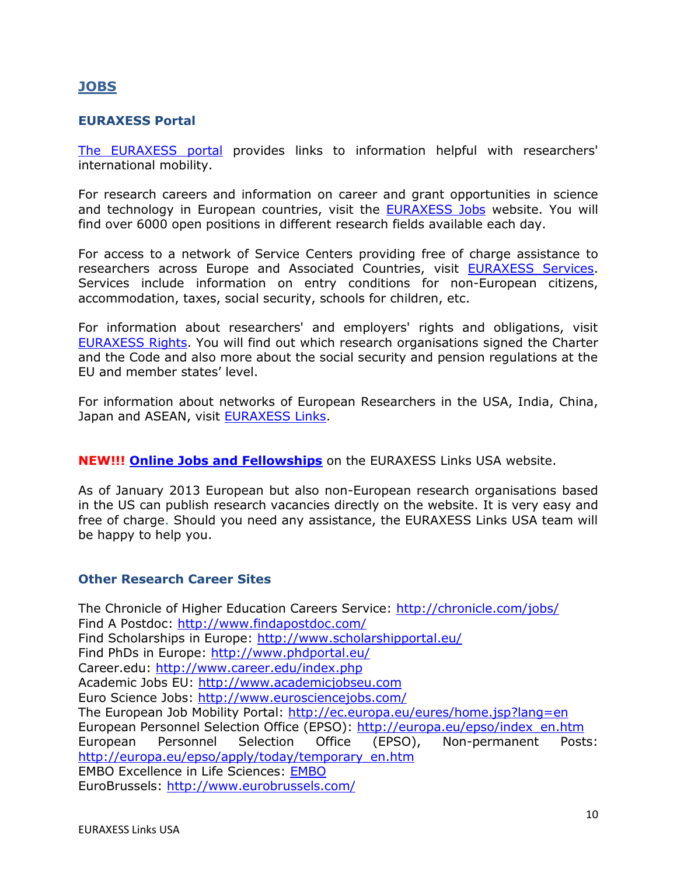# <span id="page-9-0"></span>**JOBS**

# **EURAXESS Portal**

[The EURAXESS portal](http://ec.europa.eu/euraxess/index.cfm/general/index) provides links to information helpful with researchers' international mobility.

For research careers and information on career and grant opportunities in science and technology in European countries, visit the **EURAXESS Jobs** website. You will find over 6000 open positions in different research fields available each day.

For access to a network of Service Centers providing free of charge assistance to researchers across Europe and Associated Countries, visit [EURAXESS Services.](http://ec.europa.eu/euraxess/index.cfm/services/index) Services include information on entry conditions for non-European citizens, accommodation, taxes, social security, schools for children, etc.

For information about researchers' and employers' rights and obligations, visit [EURAXESS Rights.](http://ec.europa.eu/euraxess/index.cfm/rights/index) You will find out which research organisations signed the Charter and the Code and also more about the social security and pension regulations at the EU and member states' level.

For information about networks of European Researchers in the USA, India, China, Japan and ASEAN, visit [EURAXESS Links.](http://ec.europa.eu/euraxess/links/index_en.htm?CFID=11359184&CFTOKEN=f091c6e9d611fc5e-36385075-A3C1-573C-6964EDADAAF522B5&jsessionid=b102931478fb2f85c1d845717b67451a124eTR)

**NEW!!! [Online Jobs and Fellowships](http://ec.europa.eu/euraxess/links/usa/index_en.htm)** on the EURAXESS Links USA website.

As of January 2013 European but also non-European research organisations based in the US can publish research vacancies directly on the website. It is very easy and free of charge. Should you need any assistance, the EURAXESS Links USA team will be happy to help you.

### **Other Research Career Sites**

The Chronicle of Higher Education Careers Service:<http://chronicle.com/jobs/> Find A Postdoc:<http://www.findapostdoc.com/> Find Scholarships in Europe:<http://www.scholarshipportal.eu/> Find PhDs in Europe:<http://www.phdportal.eu/> Career.edu:<http://www.career.edu/index.php> Academic Jobs EU: [http://www.academicjobseu.com](http://www.academicjobseu.com/) Euro Science Jobs:<http://www.eurosciencejobs.com/> The European Job Mobility Portal:<http://ec.europa.eu/eures/home.jsp?lang=en> European Personnel Selection Office (EPSO): [http://europa.eu/epso/index\\_en.htm](http://europa.eu/epso/index_en.htm) European Personnel Selection Office (EPSO), Non-permanent Posts: [http://europa.eu/epso/apply/today/temporary\\_en.htm](http://europa.eu/epso/apply/today/temporary_en.htm) EMBO Excellence in Life Sciences: [EMBO](http://www.embo.org/) EuroBrussels:<http://www.eurobrussels.com/>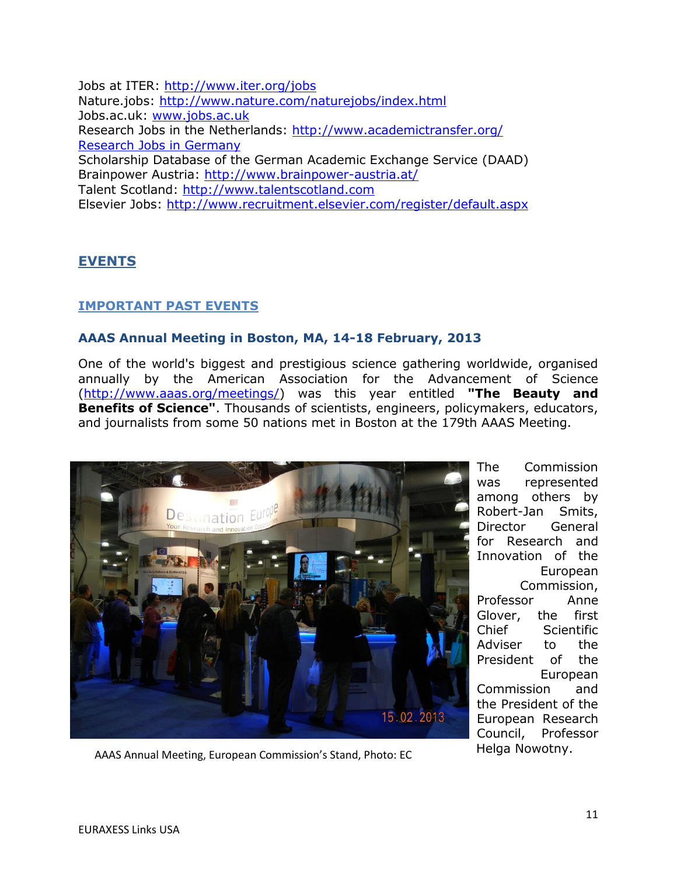Jobs at ITER:<http://www.iter.org/jobs> Nature.jobs:<http://www.nature.com/naturejobs/index.html> Jobs.ac.uk: [www.jobs.ac.uk](http://www.jobs.ac.uk/) Research Jobs in the Netherlands:<http://www.academictransfer.org/> [Research Jobs in Germany](http://www.research-in-germany.de/research-career-in-germany/jobs/29640/academics-com-i-frame.html) Scholarship Database of the German Academic Exchange Service (DAAD) Brainpower Austria:<http://www.brainpower-austria.at/> Talent Scotland: [http://www.talentscotland.com](http://www.talentscotland.com/) Elsevier Jobs:<http://www.recruitment.elsevier.com/register/default.aspx>

# <span id="page-10-0"></span>**EVENTS**

# <span id="page-10-1"></span>**IMPORTANT PAST EVENTS**

### **AAAS Annual Meeting in Boston, MA, 14-18 February, 2013**

One of the world's biggest and prestigious science gathering worldwide, organised annually by the American Association for the Advancement of Science [\(http://www.aaas.org/meetings/\)](http://www.aaas.org/meetings/) was this year entitled **"The Beauty and Benefits of Science"**. Thousands of scientists, engineers, policymakers, educators, and journalists from some 50 nations met in Boston at the 179th AAAS Meeting.



The Commission was represented among others by Robert-Jan Smits, Director General for Research and Innovation of the European Commission, Professor Anne Glover, the first Chief Scientific Adviser to the President of the European Commission and the President of the European Research Council, Professor

Helga Nowotny. AAAS Annual Meeting, European Commission's Stand, Photo: EC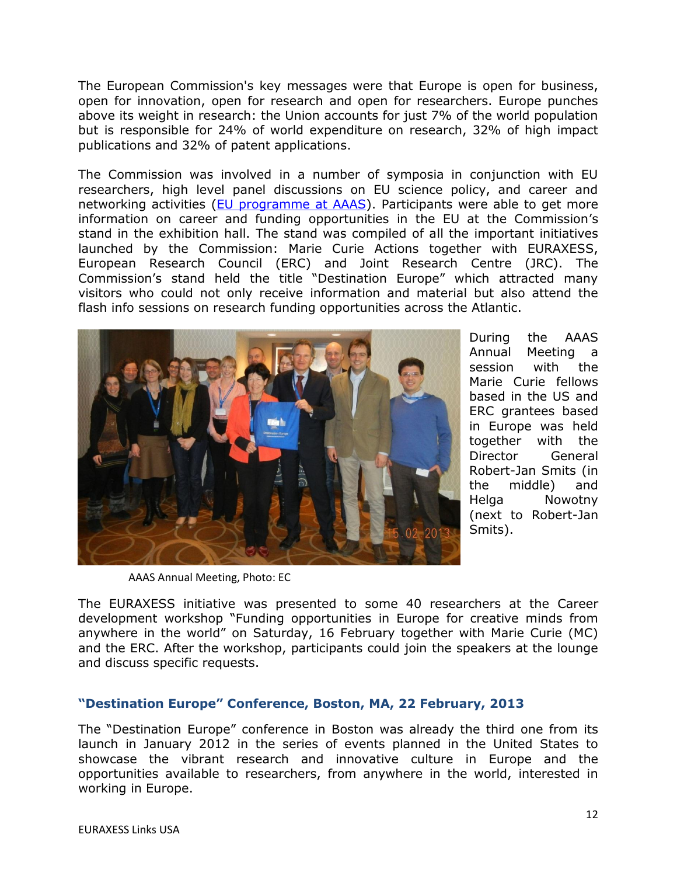The European Commission's key messages were that Europe is open for business, open for innovation, open for research and open for researchers. Europe punches above its weight in research: the Union accounts for just 7% of the world population but is responsible for 24% of world expenditure on research, 32% of high impact publications and 32% of patent applications.

The Commission was involved in a number of symposia in conjunction with EU researchers, high level panel discussions on EU science policy, and career and networking activities [\(EU programme at AAAS\)](http://aaas.confex.com/aaas/2013/webprogram/start.html). Participants were able to get more information on career and funding opportunities in the EU at the Commission's stand in the exhibition hall. The stand was compiled of all the important initiatives launched by the Commission: Marie Curie Actions together with EURAXESS, European Research Council (ERC) and Joint Research Centre (JRC). The Commission's stand held the title "Destination Europe" which attracted many visitors who could not only receive information and material but also attend the flash info sessions on research funding opportunities across the Atlantic.



During the AAAS Annual Meeting a session with the Marie Curie fellows based in the US and ERC grantees based in Europe was held together with the Director General Robert-Jan Smits (in the middle) and Helga Nowotny (next to Robert-Jan Smits).

AAAS Annual Meeting, Photo: EC

The EURAXESS initiative was presented to some 40 researchers at the Career development workshop "Funding opportunities in Europe for creative minds from anywhere in the world" on Saturday, 16 February together with Marie Curie (MC) and the ERC. After the workshop, participants could join the speakers at the lounge and discuss specific requests.

# **"Destination Europe" Conference, Boston, MA, 22 February, 2013**

The "Destination Europe" conference in Boston was already the third one from its launch in January 2012 in the series of events planned in the United States to showcase the vibrant research and innovative culture in Europe and the opportunities available to researchers, from anywhere in the world, interested in working in Europe.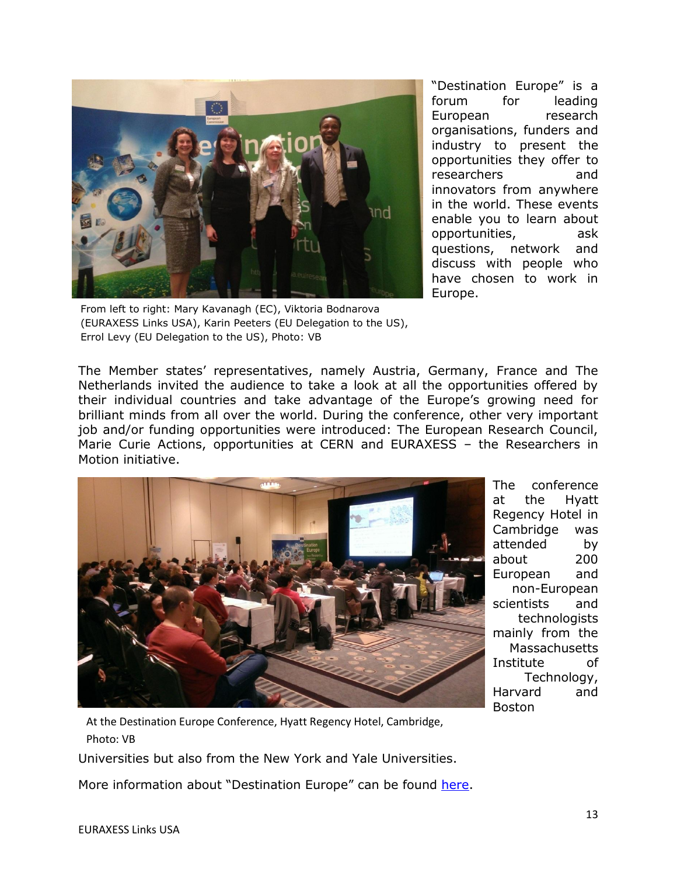

From left to right: Mary Kavanagh (EC), Viktoria Bodnarova (EURAXESS Links USA), Karin Peeters (EU Delegation to the US), Errol Levy (EU Delegation to the US), Photo: VB

"Destination Europe" is a forum for leading European research organisations, funders and industry to present the opportunities they offer to researchers and innovators from anywhere in the world. These events enable you to learn about opportunities, ask questions, network and discuss with people who have chosen to work in Europe.

The Member states' representatives, namely Austria, Germany, France and The Netherlands invited the audience to take a look at all the opportunities offered by their individual countries and take advantage of the Europe's growing need for brilliant minds from all over the world. During the conference, other very important job and/or funding opportunities were introduced: The European Research Council, Marie Curie Actions, opportunities at CERN and EURAXESS – the Researchers in Motion initiative.



The conference at the Hyatt Regency Hotel in Cambridge was attended by about 200 European and non-European scientists and technologists mainly from the **Massachusetts** Institute of Technology, Harvard and Boston

At the Destination Europe Conference, Hyatt Regency Hotel, Cambridge, Photo: VB

Universities but also from the New York and Yale Universities.

More information about "Destination Europe" can be found [here.](http://ec.europa.eu/research/iscp/index.cfm?lg=en&pg=destinationEurope)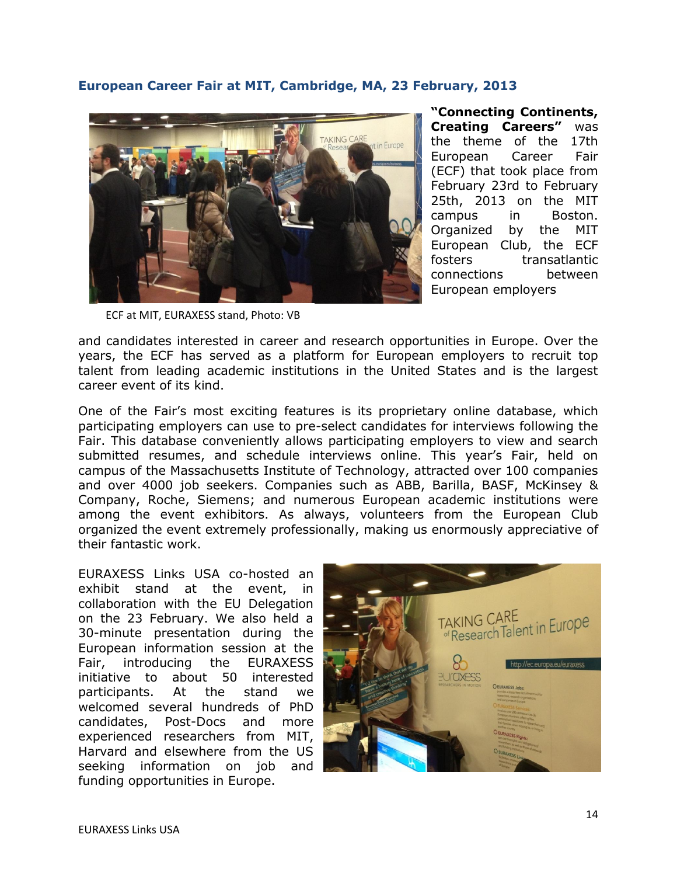# **European Career Fair at MIT, Cambridge, MA, 23 February, 2013**



**"Connecting Continents, Creating Careers"** was the theme of the 17th European Career Fair (ECF) that took place from February 23rd to February 25th, 2013 on the MIT campus in Boston. Organized by the MIT European Club, the ECF fosters transatlantic connections between European employers

ECF at MIT, EURAXESS stand, Photo: VB

and candidates interested in career and research opportunities in Europe. Over the years, the ECF has served as a platform for European employers to recruit top talent from leading academic institutions in the United States and is the largest career event of its kind.

One of the Fair's most exciting features is its proprietary online database, which participating employers can use to pre-select candidates for interviews following the Fair. This database conveniently allows participating employers to view and search submitted resumes, and schedule interviews online. This year's Fair, held on campus of the Massachusetts Institute of Technology, attracted over 100 companies and over 4000 job seekers. Companies such as ABB, Barilla, BASF, McKinsey & Company, Roche, Siemens; and numerous European academic institutions were among the event exhibitors. As always, volunteers from the European Club organized the event extremely professionally, making us enormously appreciative of their fantastic work.

EURAXESS Links USA co-hosted an exhibit stand at the event, in collaboration with the EU Delegation on the 23 February. We also held a 30-minute presentation during the European information session at the Fair, introducing the EURAXESS initiative to about 50 interested participants. At the stand we welcomed several hundreds of PhD candidates, Post-Docs and more experienced researchers from MIT, Harvard and elsewhere from the US seeking information on job and funding opportunities in Europe.

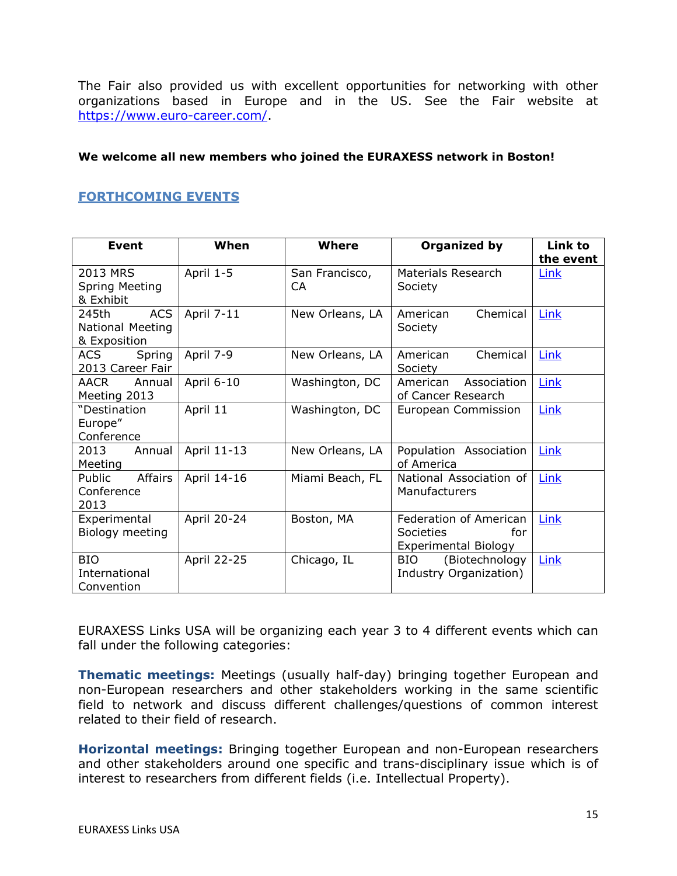The Fair also provided us with excellent opportunities for networking with other organizations based in Europe and in the US. See the Fair website at [https://www.euro-career.com/.](https://www.euro-career.com/)

#### **We welcome all new members who joined the EURAXESS network in Boston!**

# <span id="page-14-0"></span>**FORTHCOMING EVENTS**

| Event                                                   | When        | Where                 | Organized by                                                                     | Link to<br>the event |
|---------------------------------------------------------|-------------|-----------------------|----------------------------------------------------------------------------------|----------------------|
| 2013 MRS<br><b>Spring Meeting</b><br>& Exhibit          | April 1-5   | San Francisco,<br>CA. | Materials Research<br>Society                                                    | Link                 |
| <b>ACS</b><br>245th<br>National Meeting<br>& Exposition | April 7-11  | New Orleans, LA       | Chemical<br>American<br>Society                                                  | Link                 |
| ACS<br>Spring<br>2013 Career Fair                       | April 7-9   | New Orleans, LA       | Chemical<br>American<br>Society                                                  | Link                 |
| <b>AACR</b><br>Annual<br>Meeting 2013                   | April 6-10  | Washington, DC        | American<br>Association<br>of Cancer Research                                    | Link                 |
| "Destination<br>Europe"<br>Conference                   | April 11    | Washington, DC        | European Commission                                                              | Link                 |
| 2013<br>Annual<br>Meeting                               | April 11-13 | New Orleans, LA       | Population Association<br>of America                                             | Link                 |
| Public<br>Affairs<br>Conference<br>2013                 | April 14-16 | Miami Beach, FL       | National Association of<br>Manufacturers                                         | Link                 |
| Experimental<br>Biology meeting                         | April 20-24 | Boston, MA            | Federation of American<br><b>Societies</b><br>for<br><b>Experimental Biology</b> | Link                 |
| <b>BIO</b><br>International<br>Convention               | April 22-25 | Chicago, IL           | (Biotechnology<br><b>BIO</b><br>Industry Organization)                           | Link                 |

EURAXESS Links USA will be organizing each year 3 to 4 different events which can fall under the following categories:

**Thematic meetings:** Meetings (usually half-day) bringing together European and non-European researchers and other stakeholders working in the same scientific field to network and discuss different challenges/questions of common interest related to their field of research.

**Horizontal meetings:** Bringing together European and non-European researchers and other stakeholders around one specific and trans-disciplinary issue which is of interest to researchers from different fields (i.e. Intellectual Property).